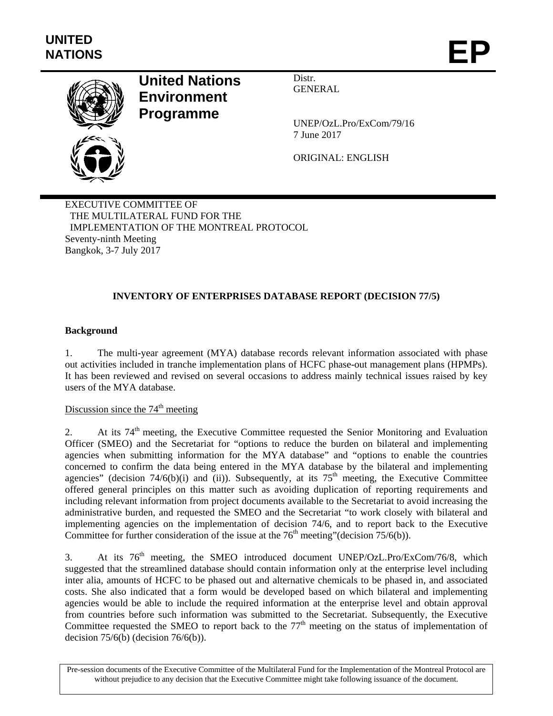

# **United Nations Environment Programme**

Distr. GENERAL

UNEP/OzL.Pro/ExCom/79/16 7 June 2017

ORIGINAL: ENGLISH

EXECUTIVE COMMITTEE OF THE MULTILATERAL FUND FOR THE IMPLEMENTATION OF THE MONTREAL PROTOCOL Seventy-ninth Meeting Bangkok, 3-7 July 2017

# **INVENTORY OF ENTERPRISES DATABASE REPORT (DECISION 77/5)**

#### **Background**

1. The multi-year agreement (MYA) database records relevant information associated with phase out activities included in tranche implementation plans of HCFC phase-out management plans (HPMPs). It has been reviewed and revised on several occasions to address mainly technical issues raised by key users of the MYA database.

# Discussion since the  $74<sup>th</sup>$  meeting

2. At its  $74<sup>th</sup>$  meeting, the Executive Committee requested the Senior Monitoring and Evaluation Officer (SMEO) and the Secretariat for "options to reduce the burden on bilateral and implementing agencies when submitting information for the MYA database" and "options to enable the countries concerned to confirm the data being entered in the MYA database by the bilateral and implementing agencies" (decision 74/6(b)(i) and (ii)). Subsequently, at its  $75<sup>th</sup>$  meeting, the Executive Committee offered general principles on this matter such as avoiding duplication of reporting requirements and including relevant information from project documents available to the Secretariat to avoid increasing the administrative burden, and requested the SMEO and the Secretariat "to work closely with bilateral and implementing agencies on the implementation of decision 74/6, and to report back to the Executive Committee for further consideration of the issue at the  $76<sup>th</sup>$  meeting"(decision  $75/6(b)$ ).

3. At its 76<sup>th</sup> meeting, the SMEO introduced document UNEP/OzL.Pro/ExCom/76/8, which suggested that the streamlined database should contain information only at the enterprise level including inter alia, amounts of HCFC to be phased out and alternative chemicals to be phased in, and associated costs. She also indicated that a form would be developed based on which bilateral and implementing agencies would be able to include the required information at the enterprise level and obtain approval from countries before such information was submitted to the Secretariat. Subsequently, the Executive Committee requested the SMEO to report back to the  $77<sup>th</sup>$  meeting on the status of implementation of decision  $75/6(b)$  (decision  $76/6(b)$ ).

Pre-session documents of the Executive Committee of the Multilateral Fund for the Implementation of the Montreal Protocol are without prejudice to any decision that the Executive Committee might take following issuance of the document.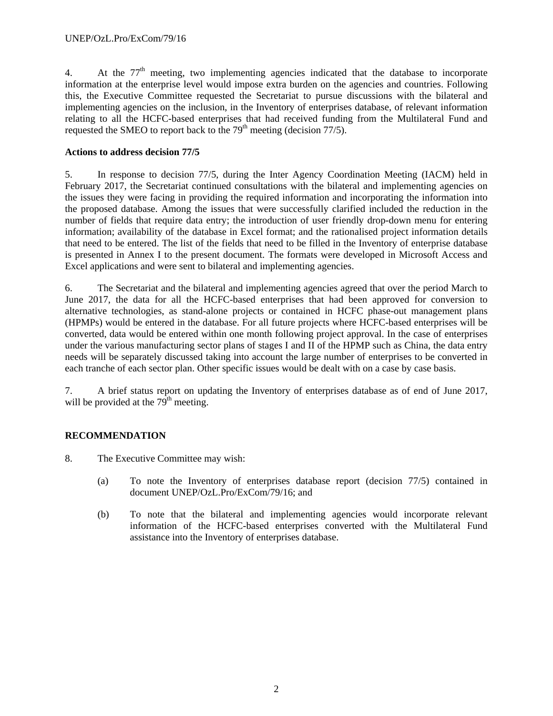4. At the 77<sup>th</sup> meeting, two implementing agencies indicated that the database to incorporate information at the enterprise level would impose extra burden on the agencies and countries. Following this, the Executive Committee requested the Secretariat to pursue discussions with the bilateral and implementing agencies on the inclusion, in the Inventory of enterprises database, of relevant information relating to all the HCFC-based enterprises that had received funding from the Multilateral Fund and requested the SMEO to report back to the  $79<sup>th</sup>$  meeting (decision  $77/5$ ).

#### **Actions to address decision 77/5**

5. In response to decision 77/5, during the Inter Agency Coordination Meeting (IACM) held in February 2017, the Secretariat continued consultations with the bilateral and implementing agencies on the issues they were facing in providing the required information and incorporating the information into the proposed database. Among the issues that were successfully clarified included the reduction in the number of fields that require data entry; the introduction of user friendly drop-down menu for entering information; availability of the database in Excel format; and the rationalised project information details that need to be entered. The list of the fields that need to be filled in the Inventory of enterprise database is presented in Annex I to the present document. The formats were developed in Microsoft Access and Excel applications and were sent to bilateral and implementing agencies.

6. The Secretariat and the bilateral and implementing agencies agreed that over the period March to June 2017, the data for all the HCFC-based enterprises that had been approved for conversion to alternative technologies, as stand-alone projects or contained in HCFC phase-out management plans (HPMPs) would be entered in the database. For all future projects where HCFC-based enterprises will be converted, data would be entered within one month following project approval. In the case of enterprises under the various manufacturing sector plans of stages I and II of the HPMP such as China, the data entry needs will be separately discussed taking into account the large number of enterprises to be converted in each tranche of each sector plan. Other specific issues would be dealt with on a case by case basis.

7. A brief status report on updating the Inventory of enterprises database as of end of June 2017, will be provided at the  $79<sup>th</sup>$  meeting.

# **RECOMMENDATION**

- 8. The Executive Committee may wish:
	- (a) To note the Inventory of enterprises database report (decision 77/5) contained in document UNEP/OzL.Pro/ExCom/79/16; and
	- (b) To note that the bilateral and implementing agencies would incorporate relevant information of the HCFC-based enterprises converted with the Multilateral Fund assistance into the Inventory of enterprises database.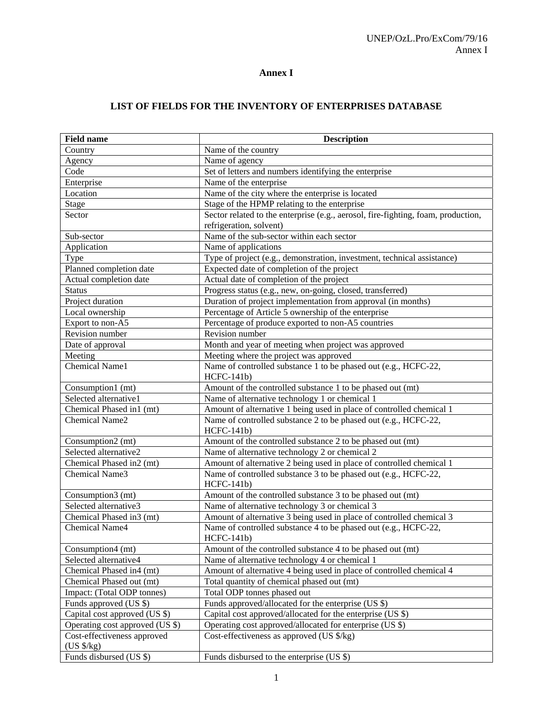### **Annex I**

# **LIST OF FIELDS FOR THE INVENTORY OF ENTERPRISES DATABASE**

| <b>Field name</b>               | <b>Description</b>                                                                |
|---------------------------------|-----------------------------------------------------------------------------------|
| Country                         | Name of the country                                                               |
| Agency                          | Name of agency                                                                    |
| $\rm Code$                      | Set of letters and numbers identifying the enterprise                             |
| Enterprise                      | Name of the enterprise                                                            |
| Location                        | Name of the city where the enterprise is located                                  |
| Stage                           | Stage of the HPMP relating to the enterprise                                      |
| Sector                          | Sector related to the enterprise (e.g., aerosol, fire-fighting, foam, production, |
|                                 | refrigeration, solvent)                                                           |
| Sub-sector                      | Name of the sub-sector within each sector                                         |
| Application                     | Name of applications                                                              |
| Type                            | Type of project (e.g., demonstration, investment, technical assistance)           |
| Planned completion date         | Expected date of completion of the project                                        |
| Actual completion date          | Actual date of completion of the project                                          |
| <b>Status</b>                   | Progress status (e.g., new, on-going, closed, transferred)                        |
| Project duration                | Duration of project implementation from approval (in months)                      |
| Local ownership                 | Percentage of Article 5 ownership of the enterprise                               |
| Export to non-A5                | Percentage of produce exported to non-A5 countries                                |
| Revision number                 | Revision number                                                                   |
| Date of approval                | Month and year of meeting when project was approved                               |
| Meeting                         | Meeting where the project was approved                                            |
| Chemical Name1                  | Name of controlled substance 1 to be phased out (e.g., HCFC-22,<br>$HCFC-141b)$   |
| Consumption1 (mt)               | Amount of the controlled substance 1 to be phased out (mt)                        |
| Selected alternative1           | Name of alternative technology 1 or chemical 1                                    |
| Chemical Phased in1 (mt)        | Amount of alternative 1 being used in place of controlled chemical 1              |
| Chemical Name2                  | Name of controlled substance 2 to be phased out (e.g., HCFC-22,<br>$HCFC-141b)$   |
| Consumption2 (mt)               | Amount of the controlled substance 2 to be phased out (mt)                        |
| Selected alternative2           | Name of alternative technology 2 or chemical 2                                    |
| Chemical Phased in 2 (mt)       | Amount of alternative 2 being used in place of controlled chemical 1              |
| Chemical Name3                  | Name of controlled substance 3 to be phased out (e.g., HCFC-22,<br>$HCFC-141b)$   |
| Consumption3 (mt)               | Amount of the controlled substance 3 to be phased out (mt)                        |
| Selected alternative3           | Name of alternative technology 3 or chemical 3                                    |
| Chemical Phased in 3 (mt)       | Amount of alternative 3 being used in place of controlled chemical 3              |
| <b>Chemical Name4</b>           | Name of controlled substance 4 to be phased out (e.g., HCFC-22,                   |
|                                 | $HCFC-141b)$                                                                      |
| Consumption4 (mt)               | Amount of the controlled substance 4 to be phased out (mt)                        |
| Selected alternative4           | Name of alternative technology 4 or chemical 1                                    |
| Chemical Phased in 4 (mt)       | Amount of alternative 4 being used in place of controlled chemical 4              |
| Chemical Phased out (mt)        | Total quantity of chemical phased out (mt)                                        |
| Impact: (Total ODP tonnes)      | Total ODP tonnes phased out                                                       |
| Funds approved (US \$)          | Funds approved/allocated for the enterprise (US \$)                               |
| Capital cost approved (US \$)   | Capital cost approved/allocated for the enterprise (US \$)                        |
| Operating cost approved (US \$) | Operating cost approved/allocated for enterprise (US \$)                          |
| Cost-effectiveness approved     | Cost-effectiveness as approved (US \$/kg)                                         |
| $(US \frac{8}{kg})$             |                                                                                   |
| Funds disbursed (US \$)         | Funds disbursed to the enterprise (US \$)                                         |